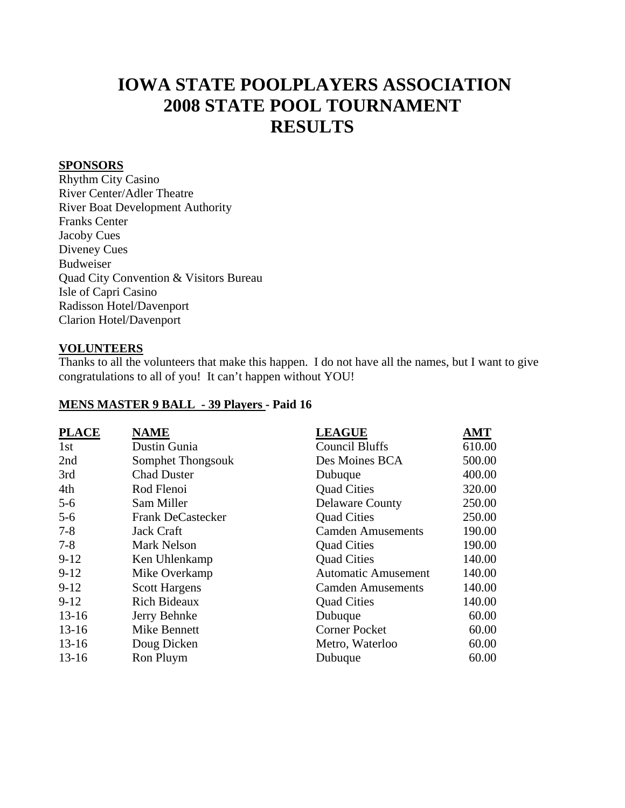# **IOWA STATE POOLPLAYERS ASSOCIATION 2008 STATE POOL TOURNAMENT RESULTS**

#### **SPONSORS**

Rhythm City Casino River Center/Adler Theatre River Boat Development Authority Franks Center Jacoby Cues Diveney Cues Budweiser Quad City Convention & Visitors Bureau Isle of Capri Casino Radisson Hotel/Davenport Clarion Hotel/Davenport

#### **VOLUNTEERS**

Thanks to all the volunteers that make this happen. I do not have all the names, but I want to give congratulations to all of you! It can't happen without YOU!

#### **MENS MASTER 9 BALL - 39 Players - Paid 16**

| <b>PLACE</b> | <b>NAME</b>              | <b>LEAGUE</b>              | AMT    |
|--------------|--------------------------|----------------------------|--------|
| 1st          | Dustin Gunia             | <b>Council Bluffs</b>      | 610.00 |
| 2nd          | Somphet Thongsouk        | Des Moines BCA             | 500.00 |
| 3rd          | <b>Chad Duster</b>       | Dubuque                    | 400.00 |
| 4th          | Rod Flenoi               | <b>Quad Cities</b>         | 320.00 |
| $5 - 6$      | Sam Miller               | <b>Delaware County</b>     | 250.00 |
| $5 - 6$      | <b>Frank DeCastecker</b> | <b>Quad Cities</b>         | 250.00 |
| $7 - 8$      | <b>Jack Craft</b>        | <b>Camden Amusements</b>   | 190.00 |
| $7 - 8$      | <b>Mark Nelson</b>       | <b>Quad Cities</b>         | 190.00 |
| $9-12$       | Ken Uhlenkamp            | <b>Quad Cities</b>         | 140.00 |
| $9 - 12$     | Mike Overkamp            | <b>Automatic Amusement</b> | 140.00 |
| $9 - 12$     | <b>Scott Hargens</b>     | <b>Camden Amusements</b>   | 140.00 |
| $9 - 12$     | <b>Rich Bideaux</b>      | <b>Quad Cities</b>         | 140.00 |
| $13 - 16$    | Jerry Behnke             | Dubuque                    | 60.00  |
| $13-16$      | Mike Bennett             | <b>Corner Pocket</b>       | 60.00  |
| $13-16$      | Doug Dicken              | Metro, Waterloo            | 60.00  |
| $13-16$      | Ron Pluym                | Dubuque                    | 60.00  |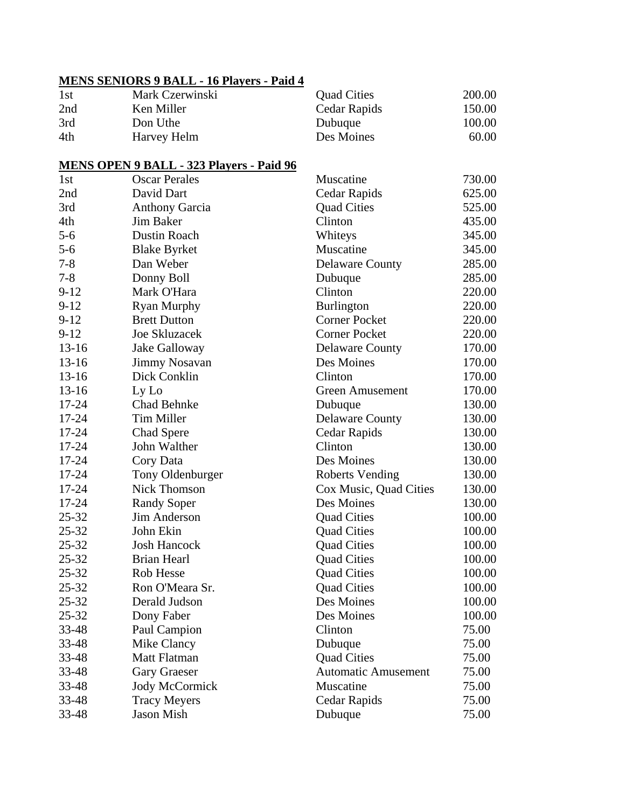# **MENS SENIORS 9 BALL - 16 Players - Paid 4**

| 1st | Mark Czerwinski | <b>Quad Cities</b> | 200.00 |
|-----|-----------------|--------------------|--------|
| 2nd | Ken Miller      | Cedar Rapids       | 150.00 |
| 3rd | Don Uthe        | Dubuque            | 100.00 |
| 4th | Harvey Helm     | Des Moines         | 60.00  |

# **MENS OPEN 9 BALL - 323 Players - Paid 96**

| 1st       | <b>Oscar Perales</b>  | Muscatine                  | 730.00 |
|-----------|-----------------------|----------------------------|--------|
| 2nd       | David Dart            | Cedar Rapids               | 625.00 |
| 3rd       | <b>Anthony Garcia</b> | <b>Quad Cities</b>         | 525.00 |
| 4th       | Jim Baker             | Clinton                    | 435.00 |
| $5 - 6$   | Dustin Roach          | Whiteys                    | 345.00 |
| $5 - 6$   | <b>Blake Byrket</b>   | Muscatine                  | 345.00 |
| $7 - 8$   | Dan Weber             | <b>Delaware County</b>     | 285.00 |
| $7 - 8$   | Donny Boll            | Dubuque                    | 285.00 |
| $9-12$    | Mark O'Hara           | Clinton                    | 220.00 |
| $9-12$    | <b>Ryan Murphy</b>    | <b>Burlington</b>          | 220.00 |
| $9-12$    | <b>Brett Dutton</b>   | <b>Corner Pocket</b>       | 220.00 |
| $9 - 12$  | <b>Joe Skluzacek</b>  | <b>Corner Pocket</b>       | 220.00 |
| $13 - 16$ | Jake Galloway         | <b>Delaware County</b>     | 170.00 |
| $13 - 16$ | Jimmy Nosavan         | Des Moines                 | 170.00 |
| $13 - 16$ | Dick Conklin          | Clinton                    | 170.00 |
| $13-16$   | Ly Lo                 | <b>Green Amusement</b>     | 170.00 |
| 17-24     | <b>Chad Behnke</b>    | Dubuque                    | 130.00 |
| 17-24     | <b>Tim Miller</b>     | <b>Delaware County</b>     | 130.00 |
| 17-24     | Chad Spere            | Cedar Rapids               | 130.00 |
| 17-24     | John Walther          | Clinton                    | 130.00 |
| $17 - 24$ | Cory Data             | Des Moines                 | 130.00 |
| 17-24     | Tony Oldenburger      | <b>Roberts Vending</b>     | 130.00 |
| 17-24     | <b>Nick Thomson</b>   | Cox Music, Quad Cities     | 130.00 |
| $17 - 24$ | <b>Randy Soper</b>    | Des Moines                 | 130.00 |
| $25 - 32$ | Jim Anderson          | <b>Quad Cities</b>         | 100.00 |
| $25 - 32$ | John Ekin             | <b>Quad Cities</b>         | 100.00 |
| $25 - 32$ | <b>Josh Hancock</b>   | <b>Quad Cities</b>         | 100.00 |
| $25 - 32$ | <b>Brian Hearl</b>    | <b>Quad Cities</b>         | 100.00 |
| $25 - 32$ | <b>Rob Hesse</b>      | <b>Quad Cities</b>         | 100.00 |
| $25 - 32$ | Ron O'Meara Sr.       | <b>Quad Cities</b>         | 100.00 |
| $25 - 32$ | Derald Judson         | Des Moines                 | 100.00 |
| $25 - 32$ | Dony Faber            | Des Moines                 | 100.00 |
| 33-48     | Paul Campion          | Clinton                    | 75.00  |
| 33-48     | Mike Clancy           | Dubuque                    | 75.00  |
| 33-48     | Matt Flatman          | <b>Quad Cities</b>         | 75.00  |
| 33-48     | <b>Gary Graeser</b>   | <b>Automatic Amusement</b> | 75.00  |
| 33-48     | <b>Jody McCormick</b> | Muscatine                  | 75.00  |
| 33-48     | <b>Tracy Meyers</b>   | Cedar Rapids               | 75.00  |
| 33-48     | Jason Mish            | Dubuque                    | 75.00  |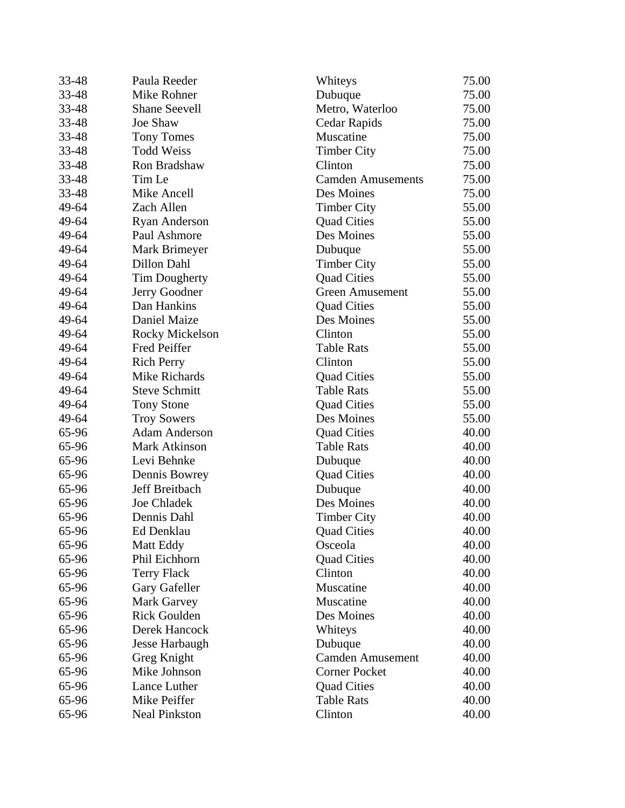| 33-48 | Paula Reeder           | Whiteys                  | 75.00 |
|-------|------------------------|--------------------------|-------|
| 33-48 | Mike Rohner            | Dubuque                  | 75.00 |
| 33-48 | <b>Shane Seevell</b>   | Metro, Waterloo          | 75.00 |
| 33-48 | Joe Shaw               | Cedar Rapids             | 75.00 |
| 33-48 | <b>Tony Tomes</b>      | Muscatine                | 75.00 |
| 33-48 | <b>Todd Weiss</b>      | <b>Timber City</b>       | 75.00 |
| 33-48 | Ron Bradshaw           | Clinton                  | 75.00 |
| 33-48 | Tim Le                 | <b>Camden Amusements</b> | 75.00 |
| 33-48 | Mike Ancell            | Des Moines               | 75.00 |
| 49-64 | Zach Allen             | <b>Timber City</b>       | 55.00 |
| 49-64 | <b>Ryan Anderson</b>   | <b>Quad Cities</b>       | 55.00 |
| 49-64 | Paul Ashmore           | Des Moines               | 55.00 |
| 49-64 | Mark Brimeyer          | Dubuque                  | 55.00 |
| 49-64 | Dillon Dahl            | <b>Timber City</b>       | 55.00 |
| 49-64 | Tim Dougherty          | <b>Quad Cities</b>       | 55.00 |
| 49-64 | Jerry Goodner          | <b>Green Amusement</b>   | 55.00 |
| 49-64 | Dan Hankins            | <b>Quad Cities</b>       | 55.00 |
| 49-64 | Daniel Maize           | Des Moines               | 55.00 |
| 49-64 | <b>Rocky Mickelson</b> | Clinton                  | 55.00 |
| 49-64 | Fred Peiffer           | <b>Table Rats</b>        | 55.00 |
| 49-64 | <b>Rich Perry</b>      | Clinton                  | 55.00 |
| 49-64 | Mike Richards          | <b>Quad Cities</b>       | 55.00 |
| 49-64 | <b>Steve Schmitt</b>   | <b>Table Rats</b>        | 55.00 |
| 49-64 | <b>Tony Stone</b>      | <b>Quad Cities</b>       | 55.00 |
| 49-64 | <b>Troy Sowers</b>     | Des Moines               | 55.00 |
| 65-96 | <b>Adam Anderson</b>   | <b>Quad Cities</b>       | 40.00 |
| 65-96 | Mark Atkinson          | <b>Table Rats</b>        | 40.00 |
| 65-96 | Levi Behnke            | Dubuque                  | 40.00 |
| 65-96 | Dennis Bowrey          | <b>Quad Cities</b>       | 40.00 |
| 65-96 | Jeff Breitbach         | Dubuque                  | 40.00 |
| 65-96 | Joe Chladek            | Des Moines               | 40.00 |
| 65-96 | Dennis Dahl            | <b>Timber City</b>       | 40.00 |
| 65-96 | Ed Denklau             | <b>Quad Cities</b>       | 40.00 |
| 65-96 | Matt Eddy              | Osceola                  | 40.00 |
| 65-96 | Phil Eichhorn          | <b>Quad Cities</b>       | 40.00 |
| 65-96 | <b>Terry Flack</b>     | Clinton                  | 40.00 |
| 65-96 | Gary Gafeller          | Muscatine                | 40.00 |
| 65-96 | <b>Mark Garvey</b>     | Muscatine                | 40.00 |
| 65-96 | <b>Rick Goulden</b>    | Des Moines               | 40.00 |
| 65-96 | Derek Hancock          | Whiteys                  | 40.00 |
| 65-96 | Jesse Harbaugh         | Dubuque                  | 40.00 |
| 65-96 | Greg Knight            | <b>Camden Amusement</b>  | 40.00 |
| 65-96 | Mike Johnson           | <b>Corner Pocket</b>     | 40.00 |
| 65-96 | Lance Luther           | <b>Quad Cities</b>       | 40.00 |
| 65-96 | Mike Peiffer           | <b>Table Rats</b>        | 40.00 |
| 65-96 | <b>Neal Pinkston</b>   | Clinton                  | 40.00 |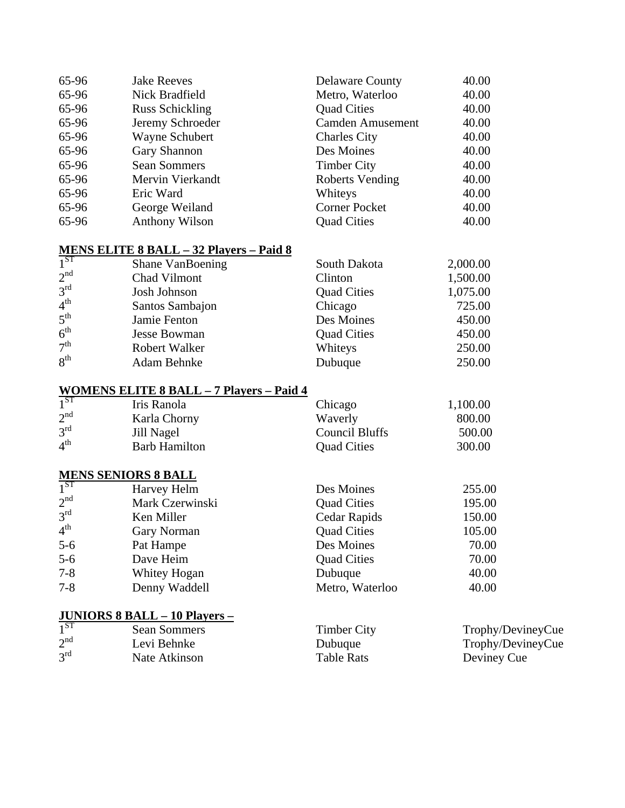| 65-96 | <b>Jake Reeves</b>     | <b>Delaware County</b>  | 40.00 |
|-------|------------------------|-------------------------|-------|
| 65-96 | Nick Bradfield         | Metro, Waterloo         | 40.00 |
| 65-96 | <b>Russ Schickling</b> | <b>Quad Cities</b>      | 40.00 |
| 65-96 | Jeremy Schroeder       | <b>Camden Amusement</b> | 40.00 |
| 65-96 | Wayne Schubert         | <b>Charles City</b>     | 40.00 |
| 65-96 | Gary Shannon           | Des Moines              | 40.00 |
| 65-96 | <b>Sean Sommers</b>    | <b>Timber City</b>      | 40.00 |
| 65-96 | Mervin Vierkandt       | Roberts Vending         | 40.00 |
| 65-96 | Eric Ward              | Whiteys                 | 40.00 |
| 65-96 | George Weiland         | <b>Corner Pocket</b>    | 40.00 |
| 65-96 | Anthony Wilson         | <b>Quad Cities</b>      | 40.00 |

# **MENS ELITE 8 BALL – 32 Players – Paid 8**

| $1^{ST}$        | Shane VanBoening     | South Dakota       | 2,000.00 |
|-----------------|----------------------|--------------------|----------|
| 2 <sup>nd</sup> | Chad Vilmont         | Clinton            | 1,500.00 |
| 3 <sup>rd</sup> | Josh Johnson         | <b>Quad Cities</b> | 1,075.00 |
| 4 <sup>th</sup> | Santos Sambajon      | Chicago            | 725.00   |
| $5^{\text{th}}$ | Jamie Fenton         | Des Moines         | 450.00   |
| 6 <sup>th</sup> | <b>Jesse Bowman</b>  | <b>Quad Cities</b> | 450.00   |
| 7 <sup>th</sup> | <b>Robert Walker</b> | Whiteys            | 250.00   |
| 8 <sup>th</sup> | Adam Behnke          | Dubuque            | 250.00   |

# **WOMENS ELITE 8 BALL – 7 Players – Paid 4**

| $1^{ST}$        | Iris Ranola          | Chicago            | 1,100.00 |
|-----------------|----------------------|--------------------|----------|
| 2 <sup>nd</sup> | Karla Chorny         | Waverly            | 800.00   |
| $3^{\text{rd}}$ | Jill Nagel           | Council Bluffs     | 500.00   |
| $4^{\text{th}}$ | <b>Barb Hamilton</b> | <b>Quad Cities</b> | 300.00   |

## **MENS SENIORS 8 BALL**

| 1 <sup>ST</sup> | Harvey Helm        | Des Moines         | 255.00 |
|-----------------|--------------------|--------------------|--------|
| 2 <sup>nd</sup> | Mark Czerwinski    | <b>Quad Cities</b> | 195.00 |
| 3 <sup>rd</sup> | Ken Miller         | Cedar Rapids       | 150.00 |
| 4 <sup>th</sup> | <b>Gary Norman</b> | <b>Quad Cities</b> | 105.00 |
| $5 - 6$         | Pat Hampe          | Des Moines         | 70.00  |
| $5-6$           | Dave Heim          | <b>Quad Cities</b> | 70.00  |
| $7 - 8$         | Whitey Hogan       | Dubuque            | 40.00  |
| $7 - 8$         | Denny Waddell      | Metro, Waterloo    | 40.00  |

# **JUNIORS 8 BALL – 10 Players –**

| $\overline{1}$ ST | Sean Sommers  | Timber City       | Trophy/DevineyCue |
|-------------------|---------------|-------------------|-------------------|
| 2 <sup>nd</sup>   | Levi Behnke   | Dubuque           | Trophy/DevineyCue |
| $3^{\text{rd}}$   | Nate Atkinson | <b>Table Rats</b> | Deviney Cue       |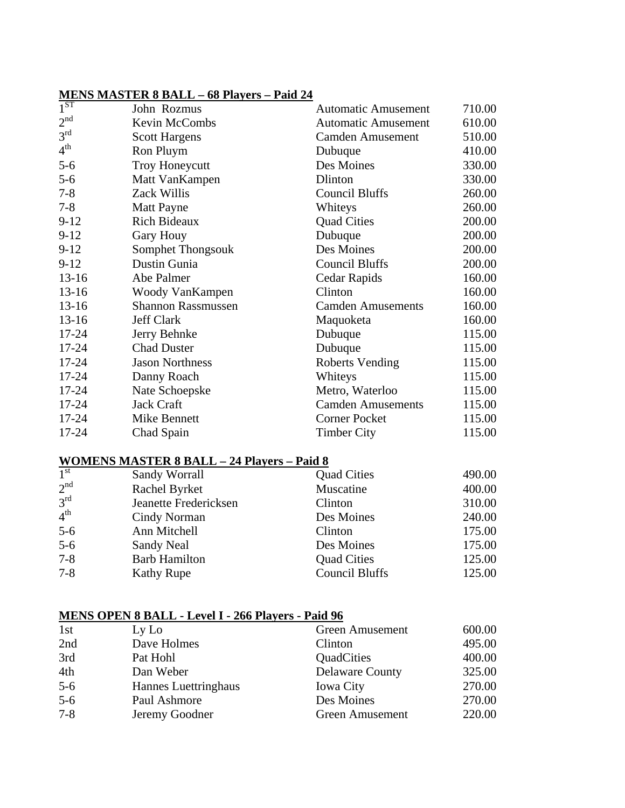## **MENS MASTER 8 BALL – 68 Players – Paid 24**

| $1^{S1}$        | John Rozmus               | <b>Automatic Amusement</b> | 710.00 |
|-----------------|---------------------------|----------------------------|--------|
| 2 <sup>nd</sup> | Kevin McCombs             | <b>Automatic Amusement</b> | 610.00 |
| 3 <sup>rd</sup> | <b>Scott Hargens</b>      | <b>Camden Amusement</b>    | 510.00 |
| 4 <sup>th</sup> | Ron Pluym                 | Dubuque                    | 410.00 |
| $5 - 6$         | <b>Troy Honeycutt</b>     | Des Moines                 | 330.00 |
| $5 - 6$         | Matt VanKampen            | Dlinton                    | 330.00 |
| $7 - 8$         | Zack Willis               | Council Bluffs             | 260.00 |
| $7 - 8$         | <b>Matt Payne</b>         | Whiteys                    | 260.00 |
| $9-12$          | <b>Rich Bideaux</b>       | <b>Quad Cities</b>         | 200.00 |
| $9-12$          | <b>Gary Houy</b>          | Dubuque                    | 200.00 |
| $9-12$          | Somphet Thongsouk         | Des Moines                 | 200.00 |
| $9-12$          | Dustin Gunia              | <b>Council Bluffs</b>      | 200.00 |
| $13 - 16$       | Abe Palmer                | Cedar Rapids               | 160.00 |
| $13 - 16$       | Woody VanKampen           | Clinton                    | 160.00 |
| $13-16$         | <b>Shannon Rassmussen</b> | <b>Camden Amusements</b>   | 160.00 |
| $13 - 16$       | Jeff Clark                | Maquoketa                  | 160.00 |
| $17 - 24$       | Jerry Behnke              | Dubuque                    | 115.00 |
| 17-24           | <b>Chad Duster</b>        | Dubuque                    | 115.00 |
| $17 - 24$       | <b>Jason Northness</b>    | <b>Roberts Vending</b>     | 115.00 |
| 17-24           | Danny Roach               | Whiteys                    | 115.00 |
| $17 - 24$       | Nate Schoepske            | Metro, Waterloo            | 115.00 |
| $17 - 24$       | Jack Craft                | <b>Camden Amusements</b>   | 115.00 |
| $17 - 24$       | Mike Bennett              | <b>Corner Pocket</b>       | 115.00 |
| 17-24           | Chad Spain                | <b>Timber City</b>         | 115.00 |

## **WOMENS MASTER 8 BALL – 24 Players – Paid 8**

| $\overline{1}^{\rm st}$ | Sandy Worrall         | <b>Quad Cities</b>    | 490.00 |
|-------------------------|-----------------------|-----------------------|--------|
| 2 <sup>nd</sup>         | Rachel Byrket         | Muscatine             | 400.00 |
| 3 <sup>rd</sup>         | Jeanette Fredericksen | Clinton               | 310.00 |
| $4^{\text{th}}$         | Cindy Norman          | Des Moines            | 240.00 |
| $5-6$                   | Ann Mitchell          | Clinton               | 175.00 |
| $5-6$                   | Sandy Neal            | Des Moines            | 175.00 |
| $7 - 8$                 | <b>Barb Hamilton</b>  | <b>Quad Cities</b>    | 125.00 |
| $7 - 8$                 | <b>Kathy Rupe</b>     | <b>Council Bluffs</b> | 125.00 |

# **MENS OPEN 8 BALL - Level I - 266 Players - Paid 96**

| 1st     | Ly Lo                | <b>Green Amusement</b> | 600.00 |
|---------|----------------------|------------------------|--------|
| 2nd     | Dave Holmes          | Clinton                | 495.00 |
| 3rd     | Pat Hohl             | QuadCities             | 400.00 |
| 4th     | Dan Weber            | <b>Delaware County</b> | 325.00 |
| $5-6$   | Hannes Luettringhaus | <b>Iowa City</b>       | 270.00 |
| $5-6$   | Paul Ashmore         | Des Moines             | 270.00 |
| $7 - 8$ | Jeremy Goodner       | <b>Green Amusement</b> | 220.00 |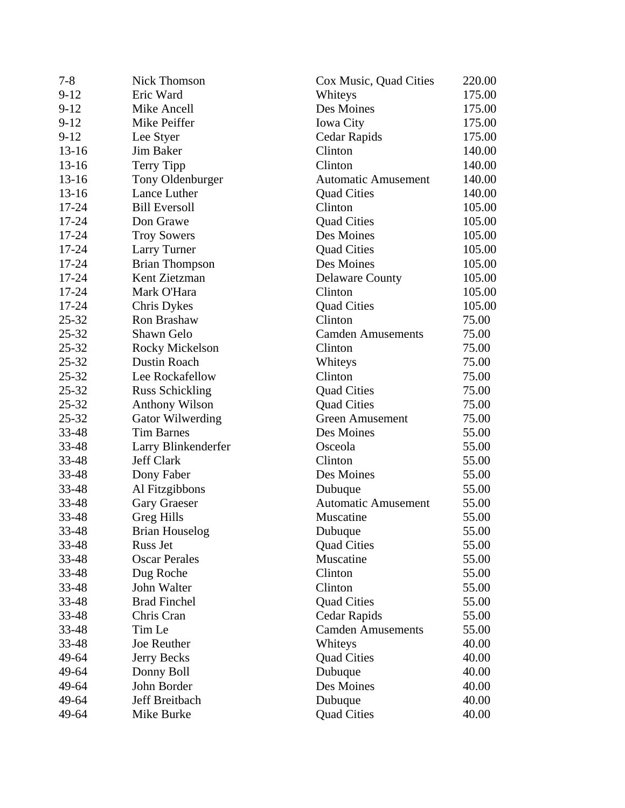| $7 - 8$   | <b>Nick Thomson</b>     | Cox Music, Quad Cities     | 220.00 |
|-----------|-------------------------|----------------------------|--------|
| $9-12$    | Eric Ward               | Whiteys                    | 175.00 |
| $9-12$    | Mike Ancell             | Des Moines                 | 175.00 |
| $9-12$    | Mike Peiffer            | <b>Iowa City</b>           | 175.00 |
| $9-12$    | Lee Styer               | Cedar Rapids               | 175.00 |
| $13 - 16$ | Jim Baker               | Clinton                    | 140.00 |
| $13-16$   | Terry Tipp              | Clinton                    | 140.00 |
| $13-16$   | Tony Oldenburger        | <b>Automatic Amusement</b> | 140.00 |
| $13-16$   | Lance Luther            | <b>Quad Cities</b>         | 140.00 |
| 17-24     | <b>Bill Eversoll</b>    | Clinton                    | 105.00 |
| 17-24     | Don Grawe               | <b>Quad Cities</b>         | 105.00 |
| 17-24     | <b>Troy Sowers</b>      | Des Moines                 | 105.00 |
| 17-24     | Larry Turner            | <b>Quad Cities</b>         | 105.00 |
| 17-24     | <b>Brian Thompson</b>   | Des Moines                 | 105.00 |
| 17-24     | Kent Zietzman           | <b>Delaware County</b>     | 105.00 |
| 17-24     | Mark O'Hara             | Clinton                    | 105.00 |
| $17 - 24$ | Chris Dykes             | <b>Quad Cities</b>         | 105.00 |
| $25 - 32$ | Ron Brashaw             | Clinton                    | 75.00  |
| $25 - 32$ | Shawn Gelo              | <b>Camden Amusements</b>   | 75.00  |
| $25 - 32$ | <b>Rocky Mickelson</b>  | Clinton                    | 75.00  |
| $25 - 32$ | Dustin Roach            | Whiteys                    | 75.00  |
| $25 - 32$ | Lee Rockafellow         | Clinton                    | 75.00  |
| $25 - 32$ | <b>Russ Schickling</b>  | <b>Quad Cities</b>         | 75.00  |
| $25 - 32$ | <b>Anthony Wilson</b>   | <b>Quad Cities</b>         | 75.00  |
| 25-32     | <b>Gator Wilwerding</b> | <b>Green Amusement</b>     | 75.00  |
| 33-48     | <b>Tim Barnes</b>       | Des Moines                 | 55.00  |
| 33-48     | Larry Blinkenderfer     | Osceola                    | 55.00  |
| $33 - 48$ | <b>Jeff Clark</b>       | Clinton                    | 55.00  |
| 33-48     | Dony Faber              | Des Moines                 | 55.00  |
| $33 - 48$ | Al Fitzgibbons          | Dubuque                    | 55.00  |
| 33-48     | <b>Gary Graeser</b>     | <b>Automatic Amusement</b> | 55.00  |
| 33-48     | <b>Greg Hills</b>       | Muscatine                  | 55.00  |
| 33-48     | <b>Brian Houselog</b>   | Dubuque                    | 55.00  |
| 33-48     | Russ Jet                | <b>Quad Cities</b>         | 55.00  |
| 33-48     | <b>Oscar Perales</b>    | Muscatine                  | 55.00  |
| 33-48     | Dug Roche               | Clinton                    | 55.00  |
| 33-48     | John Walter             | Clinton                    | 55.00  |
| 33-48     | <b>Brad Finchel</b>     | <b>Quad Cities</b>         | 55.00  |
| 33-48     | Chris Cran              | Cedar Rapids               | 55.00  |
| 33-48     | Tim Le                  | <b>Camden Amusements</b>   | 55.00  |
| 33-48     | Joe Reuther             | Whiteys                    | 40.00  |
| 49-64     | Jerry Becks             | <b>Quad Cities</b>         | 40.00  |
| 49-64     | Donny Boll              | Dubuque                    | 40.00  |
| 49-64     | John Border             | Des Moines                 | 40.00  |
| 49-64     | Jeff Breitbach          | Dubuque                    | 40.00  |
| 49-64     | Mike Burke              | <b>Quad Cities</b>         | 40.00  |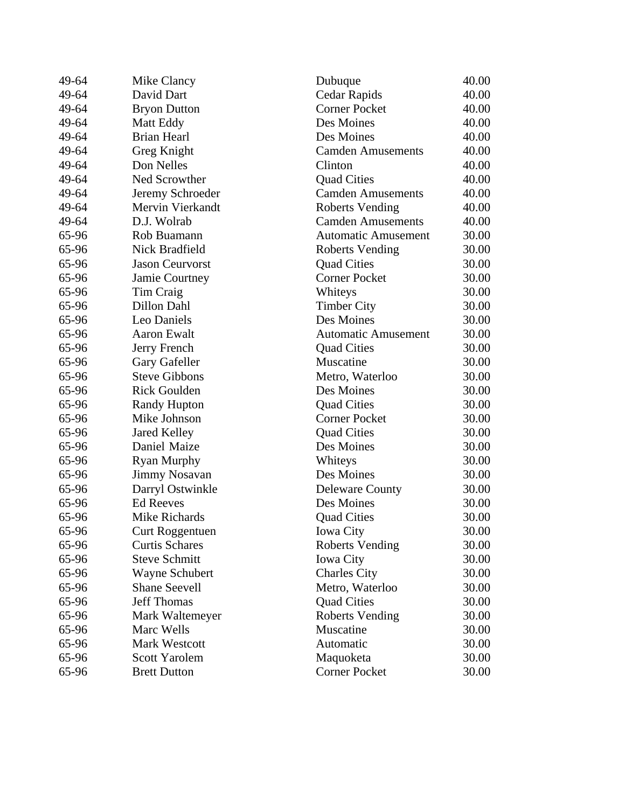| 49-64 | Mike Clancy            | Dubuque                    | 40.00 |
|-------|------------------------|----------------------------|-------|
| 49-64 | David Dart             | Cedar Rapids               | 40.00 |
| 49-64 | <b>Bryon Dutton</b>    | <b>Corner Pocket</b>       | 40.00 |
| 49-64 | Matt Eddy              | Des Moines                 | 40.00 |
| 49-64 | <b>Brian Hearl</b>     | Des Moines                 | 40.00 |
| 49-64 | Greg Knight            | <b>Camden Amusements</b>   | 40.00 |
| 49-64 | Don Nelles             | Clinton                    | 40.00 |
| 49-64 | Ned Scrowther          | <b>Quad Cities</b>         | 40.00 |
| 49-64 | Jeremy Schroeder       | <b>Camden Amusements</b>   | 40.00 |
| 49-64 | Mervin Vierkandt       | <b>Roberts Vending</b>     | 40.00 |
| 49-64 | D.J. Wolrab            | <b>Camden Amusements</b>   | 40.00 |
| 65-96 | Rob Buamann            | <b>Automatic Amusement</b> | 30.00 |
| 65-96 | Nick Bradfield         | <b>Roberts Vending</b>     | 30.00 |
| 65-96 | <b>Jason Ceurvorst</b> | <b>Quad Cities</b>         | 30.00 |
| 65-96 | Jamie Courtney         | <b>Corner Pocket</b>       | 30.00 |
| 65-96 | Tim Craig              | Whiteys                    | 30.00 |
| 65-96 | Dillon Dahl            | <b>Timber City</b>         | 30.00 |
| 65-96 | Leo Daniels            | Des Moines                 | 30.00 |
| 65-96 | <b>Aaron Ewalt</b>     | <b>Automatic Amusement</b> | 30.00 |
| 65-96 | Jerry French           | <b>Quad Cities</b>         | 30.00 |
| 65-96 | Gary Gafeller          | Muscatine                  | 30.00 |
| 65-96 | <b>Steve Gibbons</b>   | Metro, Waterloo            | 30.00 |
| 65-96 | <b>Rick Goulden</b>    | Des Moines                 | 30.00 |
| 65-96 | <b>Randy Hupton</b>    | <b>Quad Cities</b>         | 30.00 |
| 65-96 | Mike Johnson           | <b>Corner Pocket</b>       | 30.00 |
| 65-96 | Jared Kelley           | <b>Quad Cities</b>         | 30.00 |
| 65-96 | Daniel Maize           | Des Moines                 | 30.00 |
| 65-96 | <b>Ryan Murphy</b>     | Whiteys                    | 30.00 |
| 65-96 | <b>Jimmy Nosavan</b>   | Des Moines                 | 30.00 |
| 65-96 | Darryl Ostwinkle       | <b>Deleware County</b>     | 30.00 |
| 65-96 | <b>Ed Reeves</b>       | Des Moines                 | 30.00 |
| 65-96 | Mike Richards          | <b>Quad Cities</b>         | 30.00 |
| 65-96 | Curt Roggentuen        | <b>Iowa City</b>           | 30.00 |
| 65-96 | <b>Curtis Schares</b>  | Roberts Vending            | 30.00 |
| 65-96 | <b>Steve Schmitt</b>   | <b>Iowa City</b>           | 30.00 |
| 65-96 | Wayne Schubert         | <b>Charles City</b>        | 30.00 |
| 65-96 | <b>Shane Seevell</b>   | Metro, Waterloo            | 30.00 |
| 65-96 | <b>Jeff Thomas</b>     | <b>Quad Cities</b>         | 30.00 |
| 65-96 | Mark Waltemeyer        | <b>Roberts Vending</b>     | 30.00 |
| 65-96 | Marc Wells             | Muscatine                  | 30.00 |
| 65-96 | <b>Mark Westcott</b>   | Automatic                  | 30.00 |
| 65-96 | <b>Scott Yarolem</b>   | Maquoketa                  | 30.00 |
| 65-96 | <b>Brett Dutton</b>    | <b>Corner Pocket</b>       | 30.00 |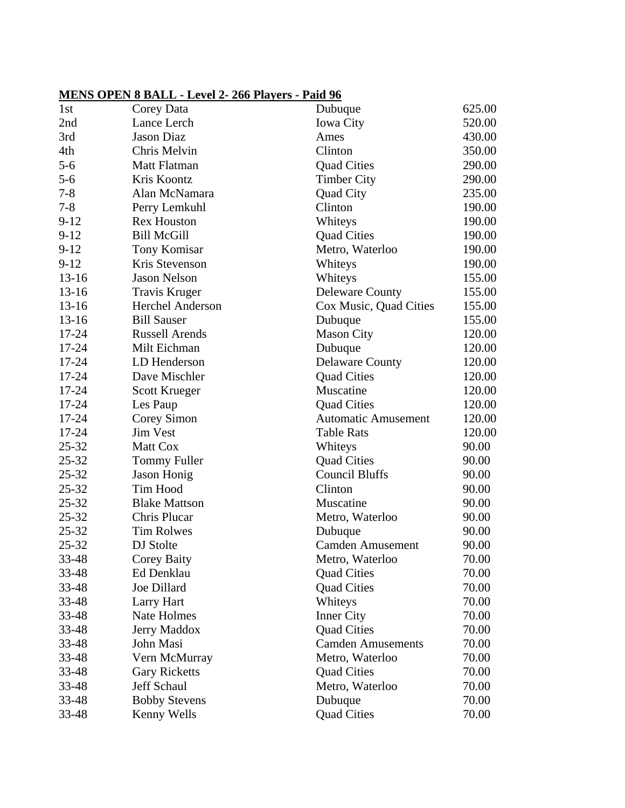# **MENS OPEN 8 BALL - Level 2- 266 Players - Paid 96**

| 1st       | Corey Data              | Dubuque                    | 625.00 |
|-----------|-------------------------|----------------------------|--------|
| 2nd       | Lance Lerch             | <b>Iowa City</b>           | 520.00 |
| 3rd       | <b>Jason Diaz</b>       | Ames                       | 430.00 |
| 4th       | Chris Melvin            | Clinton                    | 350.00 |
| $5 - 6$   | Matt Flatman            | <b>Quad Cities</b>         | 290.00 |
| $5 - 6$   | Kris Koontz             | <b>Timber City</b>         | 290.00 |
| $7 - 8$   | Alan McNamara           | <b>Quad City</b>           | 235.00 |
| $7 - 8$   | Perry Lemkuhl           | Clinton                    | 190.00 |
| $9-12$    | <b>Rex Houston</b>      | Whiteys                    | 190.00 |
| $9-12$    | <b>Bill McGill</b>      | <b>Quad Cities</b>         | 190.00 |
| $9-12$    | <b>Tony Komisar</b>     | Metro, Waterloo            | 190.00 |
| $9-12$    | Kris Stevenson          | Whiteys                    | 190.00 |
| $13 - 16$ | <b>Jason Nelson</b>     | Whiteys                    | 155.00 |
| $13-16$   | <b>Travis Kruger</b>    | <b>Deleware County</b>     | 155.00 |
| $13 - 16$ | <b>Herchel Anderson</b> | Cox Music, Quad Cities     | 155.00 |
| $13 - 16$ | <b>Bill Sauser</b>      | Dubuque                    | 155.00 |
| 17-24     | <b>Russell Arends</b>   | <b>Mason City</b>          | 120.00 |
| 17-24     | Milt Eichman            | Dubuque                    | 120.00 |
| $17 - 24$ | LD Henderson            | <b>Delaware County</b>     | 120.00 |
| 17-24     | Dave Mischler           | <b>Quad Cities</b>         | 120.00 |
| 17-24     | <b>Scott Krueger</b>    | Muscatine                  | 120.00 |
| 17-24     | Les Paup                | <b>Quad Cities</b>         | 120.00 |
| $17 - 24$ | Corey Simon             | <b>Automatic Amusement</b> | 120.00 |
| $17 - 24$ | <b>Jim Vest</b>         | <b>Table Rats</b>          | 120.00 |
| $25 - 32$ | Matt Cox                | Whiteys                    | 90.00  |
| $25 - 32$ | <b>Tommy Fuller</b>     | <b>Quad Cities</b>         | 90.00  |
| 25-32     | <b>Jason Honig</b>      | <b>Council Bluffs</b>      | 90.00  |
| $25 - 32$ | Tim Hood                | Clinton                    | 90.00  |
| $25 - 32$ | <b>Blake Mattson</b>    | Muscatine                  | 90.00  |
| $25 - 32$ | Chris Plucar            | Metro, Waterloo            | 90.00  |
| $25 - 32$ | <b>Tim Rolwes</b>       | Dubuque                    | 90.00  |
| $25 - 32$ | DJ Stolte               | <b>Camden Amusement</b>    | 90.00  |
| 33-48     | <b>Corey Baity</b>      | Metro, Waterloo            | 70.00  |
| 33-48     | Ed Denklau              | <b>Quad Cities</b>         | 70.00  |
| 33-48     | Joe Dillard             | <b>Quad Cities</b>         | 70.00  |
| 33-48     | Larry Hart              | Whiteys                    | 70.00  |
| 33-48     | Nate Holmes             | <b>Inner City</b>          | 70.00  |
| 33-48     | <b>Jerry Maddox</b>     | <b>Quad Cities</b>         | 70.00  |
| 33-48     | John Masi               | <b>Camden Amusements</b>   | 70.00  |
| 33-48     | Vern McMurray           | Metro, Waterloo            | 70.00  |
| 33-48     | <b>Gary Ricketts</b>    | <b>Quad Cities</b>         | 70.00  |
| 33-48     | Jeff Schaul             | Metro, Waterloo            | 70.00  |
| 33-48     | <b>Bobby Stevens</b>    | Dubuque                    | 70.00  |
| 33-48     | Kenny Wells             | <b>Quad Cities</b>         | 70.00  |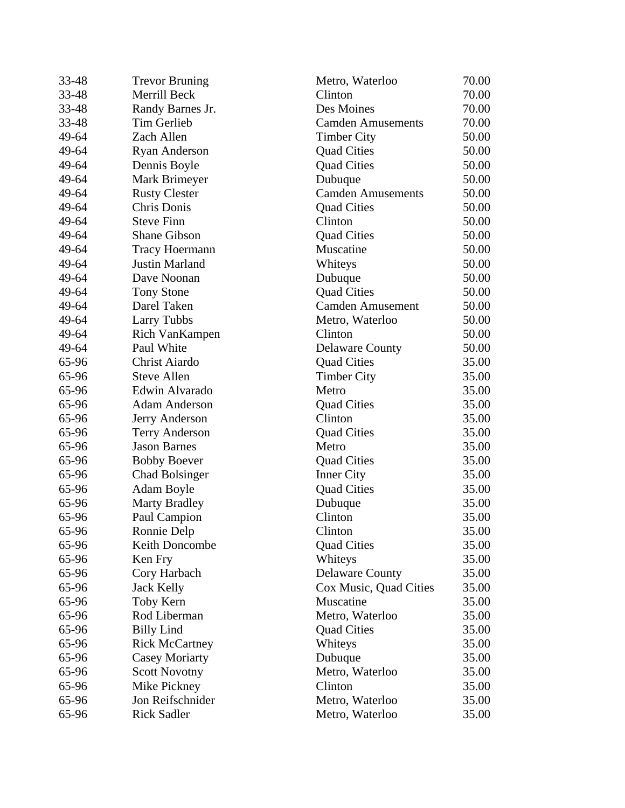| 33-48 | <b>Trevor Bruning</b> | Metro, Waterloo          | 70.00 |
|-------|-----------------------|--------------------------|-------|
| 33-48 | Merrill Beck          | Clinton                  | 70.00 |
| 33-48 | Randy Barnes Jr.      | Des Moines               | 70.00 |
| 33-48 | Tim Gerlieb           | <b>Camden Amusements</b> | 70.00 |
| 49-64 | Zach Allen            | <b>Timber City</b>       | 50.00 |
| 49-64 | <b>Ryan Anderson</b>  | <b>Quad Cities</b>       | 50.00 |
| 49-64 | Dennis Boyle          | <b>Quad Cities</b>       | 50.00 |
| 49-64 | Mark Brimeyer         | Dubuque                  | 50.00 |
| 49-64 | <b>Rusty Clester</b>  | <b>Camden Amusements</b> | 50.00 |
| 49-64 | Chris Donis           | <b>Quad Cities</b>       | 50.00 |
| 49-64 | <b>Steve Finn</b>     | Clinton                  | 50.00 |
| 49-64 | <b>Shane Gibson</b>   | <b>Quad Cities</b>       | 50.00 |
| 49-64 | <b>Tracy Hoermann</b> | Muscatine                | 50.00 |
| 49-64 | <b>Justin Marland</b> | Whiteys                  | 50.00 |
| 49-64 | Dave Noonan           | Dubuque                  | 50.00 |
| 49-64 | <b>Tony Stone</b>     | <b>Quad Cities</b>       | 50.00 |
| 49-64 | Darel Taken           | <b>Camden Amusement</b>  | 50.00 |
| 49-64 | <b>Larry Tubbs</b>    | Metro, Waterloo          | 50.00 |
| 49-64 | Rich VanKampen        | Clinton                  | 50.00 |
| 49-64 | Paul White            | <b>Delaware County</b>   | 50.00 |
| 65-96 | Christ Aiardo         | <b>Quad Cities</b>       | 35.00 |
| 65-96 | <b>Steve Allen</b>    | <b>Timber City</b>       | 35.00 |
| 65-96 | Edwin Alvarado        | Metro                    | 35.00 |
| 65-96 | <b>Adam Anderson</b>  | <b>Quad Cities</b>       | 35.00 |
| 65-96 | Jerry Anderson        | Clinton                  | 35.00 |
| 65-96 | <b>Terry Anderson</b> | <b>Quad Cities</b>       | 35.00 |
| 65-96 | <b>Jason Barnes</b>   | Metro                    | 35.00 |
| 65-96 | <b>Bobby Boever</b>   | <b>Quad Cities</b>       | 35.00 |
| 65-96 | <b>Chad Bolsinger</b> | <b>Inner City</b>        | 35.00 |
| 65-96 | Adam Boyle            | <b>Quad Cities</b>       | 35.00 |
| 65-96 | <b>Marty Bradley</b>  | Dubuque                  | 35.00 |
| 65-96 | Paul Campion          | Clinton                  | 35.00 |
| 65-96 | Ronnie Delp           | Clinton                  | 35.00 |
| 65-96 | Keith Doncombe        | <b>Quad Cities</b>       | 35.00 |
| 65-96 | Ken Fry               | Whiteys                  | 35.00 |
| 65-96 | Cory Harbach          | <b>Delaware County</b>   | 35.00 |
| 65-96 | <b>Jack Kelly</b>     | Cox Music, Quad Cities   | 35.00 |
| 65-96 | Toby Kern             | Muscatine                | 35.00 |
| 65-96 | Rod Liberman          | Metro, Waterloo          | 35.00 |
| 65-96 | <b>Billy Lind</b>     | <b>Quad Cities</b>       | 35.00 |
| 65-96 | <b>Rick McCartney</b> | Whiteys                  | 35.00 |
| 65-96 | <b>Casey Moriarty</b> | Dubuque                  | 35.00 |
| 65-96 | <b>Scott Novotny</b>  | Metro, Waterloo          | 35.00 |
| 65-96 | Mike Pickney          | Clinton                  | 35.00 |
| 65-96 | Jon Reifschnider      | Metro, Waterloo          | 35.00 |
| 65-96 | <b>Rick Sadler</b>    | Metro, Waterloo          | 35.00 |
|       |                       |                          |       |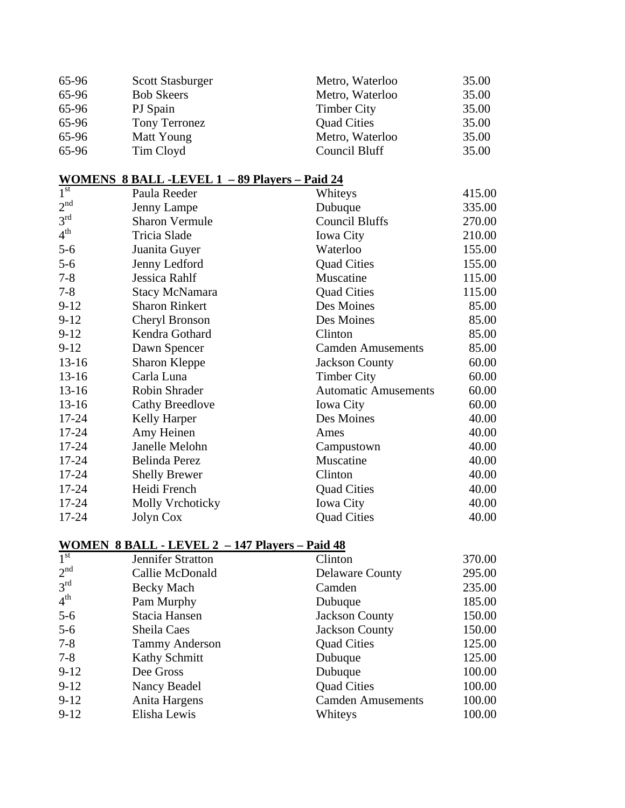| 65-96 | <b>Scott Stasburger</b> | Metro, Waterloo    | 35.00 |
|-------|-------------------------|--------------------|-------|
| 65-96 | <b>Bob Skeers</b>       | Metro, Waterloo    | 35.00 |
| 65-96 | PJ Spain                | <b>Timber City</b> | 35.00 |
| 65-96 | Tony Terronez           | <b>Quad Cities</b> | 35.00 |
| 65-96 | Matt Young              | Metro, Waterloo    | 35.00 |
| 65-96 | Tim Cloyd               | Council Bluff      | 35.00 |

## **WOMENS 8 BALL -LEVEL 1 – 89 Players – Paid 24**

| $\overline{1}^{\text{st}}$ | Paula Reeder            | Whiteys                     | 415.00 |
|----------------------------|-------------------------|-----------------------------|--------|
| 2 <sup>nd</sup>            | Jenny Lampe             | Dubuque                     | 335.00 |
| 3 <sup>rd</sup>            | <b>Sharon Vermule</b>   | Council Bluffs              | 270.00 |
| 4 <sup>th</sup>            | Tricia Slade            | <b>Iowa City</b>            | 210.00 |
| $5-6$                      | Juanita Guyer           | Waterloo                    | 155.00 |
| $5 - 6$                    | Jenny Ledford           | <b>Quad Cities</b>          | 155.00 |
| $7 - 8$                    | Jessica Rahlf           | Muscatine                   | 115.00 |
| $7 - 8$                    | <b>Stacy McNamara</b>   | <b>Quad Cities</b>          | 115.00 |
| $9-12$                     | <b>Sharon Rinkert</b>   | Des Moines                  | 85.00  |
| $9-12$                     | Cheryl Bronson          | Des Moines                  | 85.00  |
| $9-12$                     | Kendra Gothard          | Clinton                     | 85.00  |
| $9 - 12$                   | Dawn Spencer            | <b>Camden Amusements</b>    | 85.00  |
| $13-16$                    | Sharon Kleppe           | <b>Jackson County</b>       | 60.00  |
| $13 - 16$                  | Carla Luna              | <b>Timber City</b>          | 60.00  |
| $13-16$                    | Robin Shrader           | <b>Automatic Amusements</b> | 60.00  |
| $13-16$                    | <b>Cathy Breedlove</b>  | <b>Iowa City</b>            | 60.00  |
| $17 - 24$                  | Kelly Harper            | Des Moines                  | 40.00  |
| $17 - 24$                  | Amy Heinen              | Ames                        | 40.00  |
| $17 - 24$                  | Janelle Melohn          | Campustown                  | 40.00  |
| $17 - 24$                  | Belinda Perez           | Muscatine                   | 40.00  |
| $17 - 24$                  | <b>Shelly Brewer</b>    | Clinton                     | 40.00  |
| 17-24                      | Heidi French            | <b>Quad Cities</b>          | 40.00  |
| $17 - 24$                  | <b>Molly Vrchoticky</b> | <b>Iowa City</b>            | 40.00  |
| 17-24                      | Jolyn Cox               | <b>Quad Cities</b>          | 40.00  |

#### **WOMEN 8 BALL - LEVEL 2 – 147 Players – Paid 48**

| $\overline{1}$ <sup>st</sup> | Jennifer Stratton     | Clinton                  | 370.00 |
|------------------------------|-----------------------|--------------------------|--------|
| 2 <sup>nd</sup>              | Callie McDonald       | <b>Delaware County</b>   | 295.00 |
| $3^{rd}$                     | Becky Mach            | Camden                   | 235.00 |
| 4 <sup>th</sup>              | Pam Murphy            | Dubuque                  | 185.00 |
| $5-6$                        | Stacia Hansen         | <b>Jackson County</b>    | 150.00 |
| $5-6$                        | Sheila Caes           | <b>Jackson County</b>    | 150.00 |
| $7 - 8$                      | <b>Tammy Anderson</b> | <b>Quad Cities</b>       | 125.00 |
| $7 - 8$                      | Kathy Schmitt         | Dubuque                  | 125.00 |
| $9-12$                       | Dee Gross             | Dubuque                  | 100.00 |
| $9-12$                       | Nancy Beadel          | <b>Quad Cities</b>       | 100.00 |
| $9 - 12$                     | Anita Hargens         | <b>Camden Amusements</b> | 100.00 |
| $9 - 12$                     | Elisha Lewis          | Whiteys                  | 100.00 |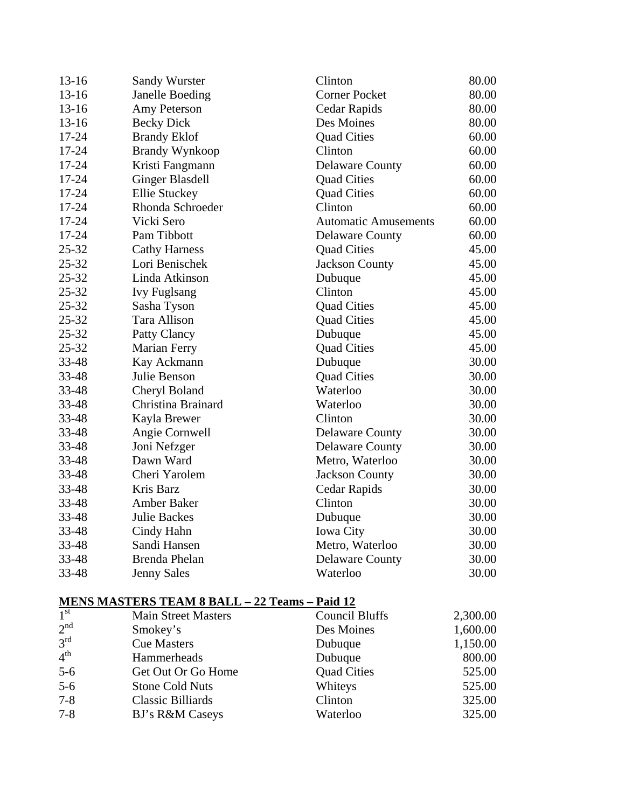| $13 - 16$ | <b>Sandy Wurster</b>   | Clinton                     | 80.00 |
|-----------|------------------------|-----------------------------|-------|
| $13 - 16$ | <b>Janelle Boeding</b> | <b>Corner Pocket</b>        | 80.00 |
| $13 - 16$ | Amy Peterson           | Cedar Rapids                | 80.00 |
| $13 - 16$ | <b>Becky Dick</b>      | Des Moines                  | 80.00 |
| 17-24     | <b>Brandy Eklof</b>    | <b>Quad Cities</b>          | 60.00 |
| 17-24     | <b>Brandy Wynkoop</b>  | Clinton                     | 60.00 |
| 17-24     | Kristi Fangmann        | <b>Delaware County</b>      | 60.00 |
| 17-24     | <b>Ginger Blasdell</b> | <b>Quad Cities</b>          | 60.00 |
| $17 - 24$ | <b>Ellie Stuckey</b>   | <b>Quad Cities</b>          | 60.00 |
| 17-24     | Rhonda Schroeder       | Clinton                     | 60.00 |
| $17 - 24$ | Vicki Sero             | <b>Automatic Amusements</b> | 60.00 |
| $17 - 24$ | Pam Tibbott            | <b>Delaware County</b>      | 60.00 |
| $25 - 32$ | <b>Cathy Harness</b>   | <b>Quad Cities</b>          | 45.00 |
| $25 - 32$ | Lori Benischek         | <b>Jackson County</b>       | 45.00 |
| $25 - 32$ | Linda Atkinson         | Dubuque                     | 45.00 |
| $25 - 32$ | <b>Ivy Fuglsang</b>    | Clinton                     | 45.00 |
| 25-32     | Sasha Tyson            | <b>Quad Cities</b>          | 45.00 |
| 25-32     | Tara Allison           | <b>Quad Cities</b>          | 45.00 |
| 25-32     | Patty Clancy           | Dubuque                     | 45.00 |
| 25-32     | <b>Marian Ferry</b>    | <b>Quad Cities</b>          | 45.00 |
| 33-48     | Kay Ackmann            | Dubuque                     | 30.00 |
| 33-48     | Julie Benson           | <b>Quad Cities</b>          | 30.00 |
| 33-48     | Cheryl Boland          | Waterloo                    | 30.00 |
| 33-48     | Christina Brainard     | Waterloo                    | 30.00 |
| 33-48     | Kayla Brewer           | Clinton                     | 30.00 |
| 33-48     | Angie Cornwell         | <b>Delaware County</b>      | 30.00 |
| 33-48     | Joni Nefzger           | <b>Delaware County</b>      | 30.00 |
| 33-48     | Dawn Ward              | Metro, Waterloo             | 30.00 |
| 33-48     | Cheri Yarolem          | <b>Jackson County</b>       | 30.00 |
| 33-48     | Kris Barz              | Cedar Rapids                | 30.00 |
| 33-48     | <b>Amber Baker</b>     | Clinton                     | 30.00 |
| 33-48     | <b>Julie Backes</b>    | Dubuque                     | 30.00 |
| 33-48     | Cindy Hahn             | Iowa City                   | 30.00 |
| 33-48     | Sandi Hansen           | Metro, Waterloo             | 30.00 |
| 33-48     | <b>Brenda Phelan</b>   | <b>Delaware County</b>      | 30.00 |
| 33-48     | <b>Jenny Sales</b>     | Waterloo                    | 30.00 |
|           |                        |                             |       |

#### **MENS MASTERS TEAM 8 BALL – 22 Teams – Paid 12**

| $\overline{1}^{\rm st}$ | <b>Main Street Masters</b> | <b>Council Bluffs</b> | 2,300.00 |
|-------------------------|----------------------------|-----------------------|----------|
| 2 <sup>nd</sup>         | Smokey's                   | Des Moines            | 1,600.00 |
| 3 <sup>rd</sup>         | <b>Cue Masters</b>         | Dubuque               | 1,150.00 |
| 4 <sup>th</sup>         | Hammerheads                | Dubuque               | 800.00   |
| $5-6$                   | Get Out Or Go Home         | <b>Quad Cities</b>    | 525.00   |
| $5-6$                   | <b>Stone Cold Nuts</b>     | Whiteys               | 525.00   |
| $7 - 8$                 | <b>Classic Billiards</b>   | Clinton               | 325.00   |
| $7 - 8$                 | <b>BJ's R&amp;M Caseys</b> | Waterloo              | 325.00   |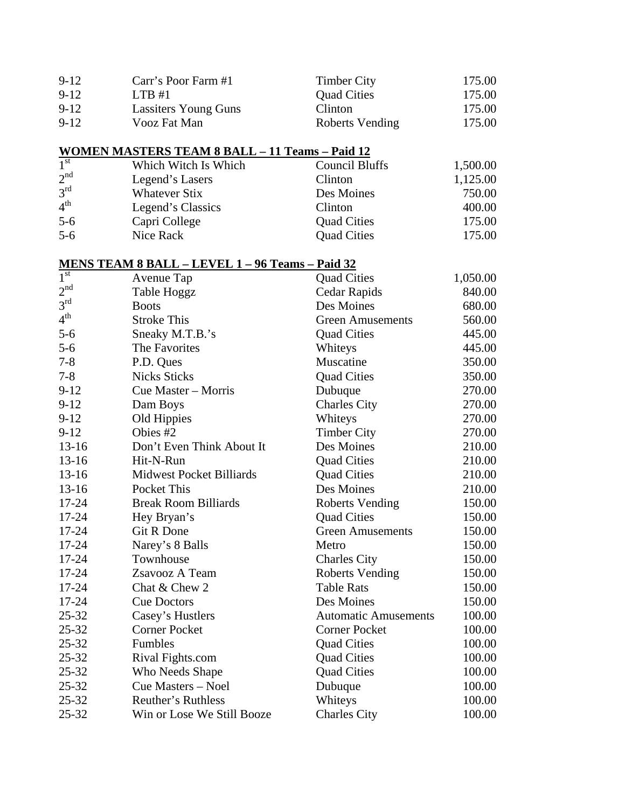| $9-12$   | Carr's Poor Farm #1         | <b>Timber City</b>     | 175.00 |
|----------|-----------------------------|------------------------|--------|
| $9 - 12$ | LTB#1                       | <b>Quad Cities</b>     | 175.00 |
| $9-12$   | <b>Lassiters Young Guns</b> | Clinton                | 175.00 |
| $9-12$   | Vooz Fat Man                | <b>Roberts Vending</b> | 175.00 |

## **WOMEN MASTERS TEAM 8 BALL – 11 Teams – Paid 12**

| 1 <sup>st</sup> | Which Witch Is Which | <b>Council Bluffs</b> | 1,500.00 |
|-----------------|----------------------|-----------------------|----------|
| 2 <sup>nd</sup> | Legend's Lasers      | Clinton               | 1,125.00 |
| $3^{\text{rd}}$ | <b>Whatever Stix</b> | Des Moines            | 750.00   |
| 4 <sup>th</sup> | Legend's Classics    | Clinton               | 400.00   |
| $5-6$           | Capri College        | <b>Quad Cities</b>    | 175.00   |
| $5-6$           | Nice Rack            | <b>Quad Cities</b>    | 175.00   |

## **MENS TEAM 8 BALL – LEVEL 1 – 96 Teams – Paid 32**

| $1^{\rm st}$    | Avenue Tap                      | <b>Quad Cities</b>          | 1,050.00 |
|-----------------|---------------------------------|-----------------------------|----------|
| 2 <sup>nd</sup> | Table Hoggz                     | Cedar Rapids                | 840.00   |
| 3 <sup>rd</sup> | <b>Boots</b>                    | Des Moines                  | 680.00   |
| 4 <sup>th</sup> | <b>Stroke This</b>              | <b>Green Amusements</b>     | 560.00   |
| $5 - 6$         | Sneaky M.T.B.'s                 | <b>Quad Cities</b>          | 445.00   |
| $5 - 6$         | The Favorites                   | Whiteys                     | 445.00   |
| $7 - 8$         | P.D. Ques                       | Muscatine                   | 350.00   |
| $7 - 8$         | <b>Nicks Sticks</b>             | <b>Quad Cities</b>          | 350.00   |
| $9-12$          | Cue Master - Morris             | Dubuque                     | 270.00   |
| $9 - 12$        | Dam Boys                        | <b>Charles City</b>         | 270.00   |
| $9 - 12$        | Old Hippies                     | Whiteys                     | 270.00   |
| $9 - 12$        | Obies #2                        | <b>Timber City</b>          | 270.00   |
| $13 - 16$       | Don't Even Think About It       | Des Moines                  | 210.00   |
| $13 - 16$       | Hit-N-Run                       | <b>Quad Cities</b>          | 210.00   |
| $13 - 16$       | <b>Midwest Pocket Billiards</b> | <b>Quad Cities</b>          | 210.00   |
| $13 - 16$       | Pocket This                     | Des Moines                  | 210.00   |
| 17-24           | <b>Break Room Billiards</b>     | <b>Roberts Vending</b>      | 150.00   |
| 17-24           | Hey Bryan's                     | <b>Quad Cities</b>          | 150.00   |
| 17-24           | <b>Git R Done</b>               | <b>Green Amusements</b>     | 150.00   |
| 17-24           | Narey's 8 Balls                 | Metro                       | 150.00   |
| 17-24           | Townhouse                       | <b>Charles City</b>         | 150.00   |
| 17-24           | Zsavooz A Team                  | <b>Roberts Vending</b>      | 150.00   |
| 17-24           | Chat & Chew 2                   | <b>Table Rats</b>           | 150.00   |
| 17-24           | <b>Cue Doctors</b>              | Des Moines                  | 150.00   |
| $25 - 32$       | Casey's Hustlers                | <b>Automatic Amusements</b> | 100.00   |
| $25 - 32$       | <b>Corner Pocket</b>            | <b>Corner Pocket</b>        | 100.00   |
| $25 - 32$       | Fumbles                         | <b>Quad Cities</b>          | 100.00   |
| 25-32           | Rival Fights.com                | <b>Quad Cities</b>          | 100.00   |
| $25 - 32$       | Who Needs Shape                 | <b>Quad Cities</b>          | 100.00   |
| 25-32           | Cue Masters - Noel              | Dubuque                     | 100.00   |
| $25 - 32$       | Reuther's Ruthless              | Whiteys                     | 100.00   |
| $25 - 32$       | Win or Lose We Still Booze      | <b>Charles City</b>         | 100.00   |